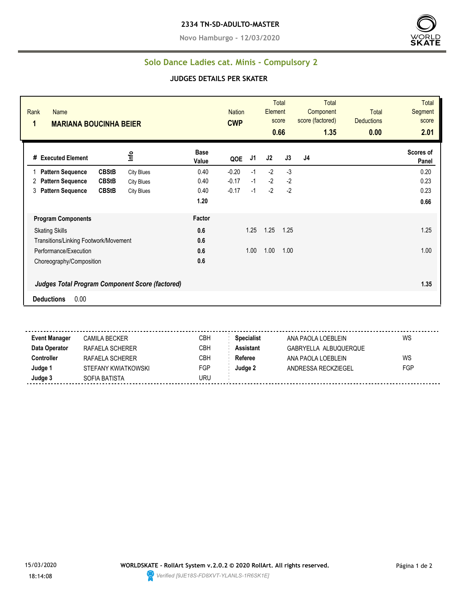**Novo Hamburgo - 12/03/2020**



## **Solo Dance Ladies cat. Minis - Compulsory 2**

## **JUDGES DETAILS PER SKATER**

| Rank<br>Name<br>1<br><b>MARIANA BOUCINHA BEIER</b> |                   |                      | <b>Nation</b><br><b>CWP</b> |      | <b>Total</b><br>Element<br>score<br>0.66 |      | <b>Total</b><br>Component<br>score (factored)<br>1.35 | <b>Total</b><br><b>Deductions</b><br>0.00 | <b>Total</b><br>Segment<br>score<br>2.01 |
|----------------------------------------------------|-------------------|----------------------|-----------------------------|------|------------------------------------------|------|-------------------------------------------------------|-------------------------------------------|------------------------------------------|
| # Executed Element                                 | Info              | <b>Base</b><br>Value | QOE                         | J1   | J2                                       | J3   | J4                                                    |                                           | Scores of<br>Panel                       |
| <b>CBStB</b><br><b>Pattern Sequence</b>            | <b>City Blues</b> | 0.40                 | $-0.20$                     | $-1$ | $-2$                                     | $-3$ |                                                       |                                           | 0.20                                     |
| <b>CBStB</b><br><b>Pattern Sequence</b><br>2       | <b>City Blues</b> | 0.40                 | $-0.17$                     | $-1$ | $-2$                                     | $-2$ |                                                       |                                           | 0.23                                     |
| <b>CBStB</b><br>3<br><b>Pattern Sequence</b>       | <b>City Blues</b> | 0.40                 | $-0.17$                     | $-1$ | $-2$                                     | $-2$ |                                                       |                                           | 0.23                                     |
|                                                    |                   | 1.20                 |                             |      |                                          |      |                                                       |                                           | 0.66                                     |
| <b>Program Components</b>                          |                   | Factor               |                             |      |                                          |      |                                                       |                                           |                                          |
| <b>Skating Skills</b>                              |                   | 0.6                  |                             | 1.25 | 1.25                                     | 1.25 |                                                       |                                           | 1.25                                     |
| Transitions/Linking Footwork/Movement              |                   | 0.6                  |                             |      |                                          |      |                                                       |                                           |                                          |
| Performance/Execution                              |                   | 0.6                  |                             | 1.00 | 1.00                                     | 1.00 |                                                       |                                           | 1.00                                     |
| Choreography/Composition                           |                   | 0.6                  |                             |      |                                          |      |                                                       |                                           |                                          |
| Judges Total Program Component Score (factored)    |                   |                      |                             |      |                                          |      |                                                       |                                           | 1.35                                     |
| 0.00<br><b>Deductions</b>                          |                   |                      |                             |      |                                          |      |                                                       |                                           |                                          |

. . . . . . **Event Manager** CAMILA BECKER CBH **Specialist** ANA PAOLA LOEBLEIN WS **Data Operator** RAFAELA SCHERER CBH **Assistant** GABRYELLA ALBUQUERQUE **Controller** RAFAELA SCHERER CBH **Referee** ANA PAOLA LOEBLEIN WS **Judge 1** STEFANY KWIATKOWSKI FGP **Judge 2** ANDRESSA RECKZIEGEL FGP **Judge 3** SOFIA BATISTA SOFIA BATISTA